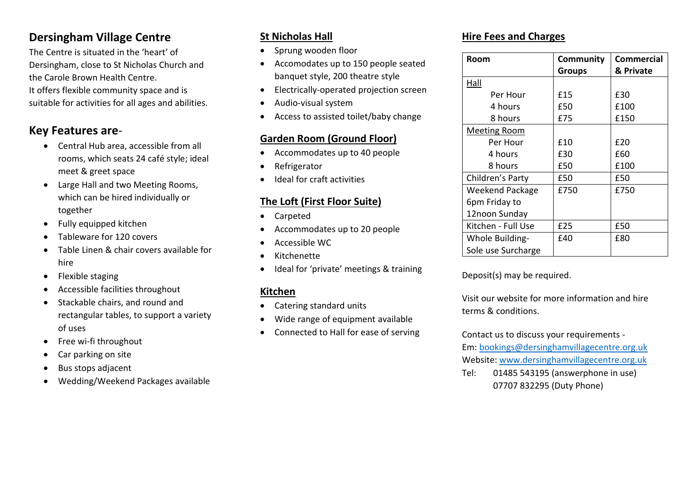### **Dersingham Village Centre**

The Centre is situated in the 'heart' of Dersingham, close to St Nicholas Church and the Carole Brown Health Centre. It offers flexible community space and is suitable for activities for all ages and abilities.

#### **Key Features are**-

- Central Hub area, accessible from all rooms, which seats 24 café style; ideal meet & greet space
- Large Hall and two Meeting Rooms, which can be hired individually or together
- Fully equipped kitchen
- Tableware for 120 covers
- Table Linen & chair covers available for hire
- Flexible staging
- Accessible facilities throughout
- Stackable chairs, and round and rectangular tables, to support a variety of uses
- Free wi-fi throughout
- Car parking on site
- Bus stops adjacent
- Wedding/Weekend Packages available

#### **St Nicholas Hall**

- Sprung wooden floor
- Accomodates up to 150 people seated banquet style, 200 theatre style
- Electrically-operated projection screen
- Audio-visual system
- Access to assisted toilet/baby change

#### **Garden Room (Ground Floor)**

- Accommodates up to 40 people
- **Refrigerator**
- Ideal for craft activities

#### **The Loft (First Floor Suite)**

- Carpeted
- Accommodates up to 20 people
- Accessible WC
- Kitchenette
- Ideal for 'private' meetings & training

#### **Kitchen**

- Catering standard units
- Wide range of equipment available
- Connected to Hall for ease of serving

#### **Hire Fees and Charges**

| Room               | Community     | Commercial |
|--------------------|---------------|------------|
|                    | <b>Groups</b> | & Private  |
| Hall               |               |            |
| Per Hour           | £15           | £30        |
| 4 hours            | £50           | £100       |
| 8 hours            | £75           | £150       |
| Meeting Room       |               |            |
| Per Hour           | £10           | £20        |
| 4 hours            | £30           | £60        |
| 8 hours            | £50           | £100       |
| Children's Party   | £50           | £50        |
| Weekend Package    | £750          | £750       |
| 6pm Friday to      |               |            |
| 12noon Sunday      |               |            |
| Kitchen - Full Use | £25           | £50        |
| Whole Building-    | £40           | £80        |
| Sole use Surcharge |               |            |

Deposit(s) may be required.

Visit our website for more information and hire terms & conditions.

Contact us to discuss your requirements - Em: [bookings@dersinghamvillagecentre.org.uk](mailto:bookings@dersinghamvillagecentre.org.uk)

Website: [www.dersinghamvillagecentre.org.uk](http://www.dersinghamvillagecentre.org.uk/)

Tel: 01485 543195 (answerphone in use) 07707 832295 (Duty Phone)